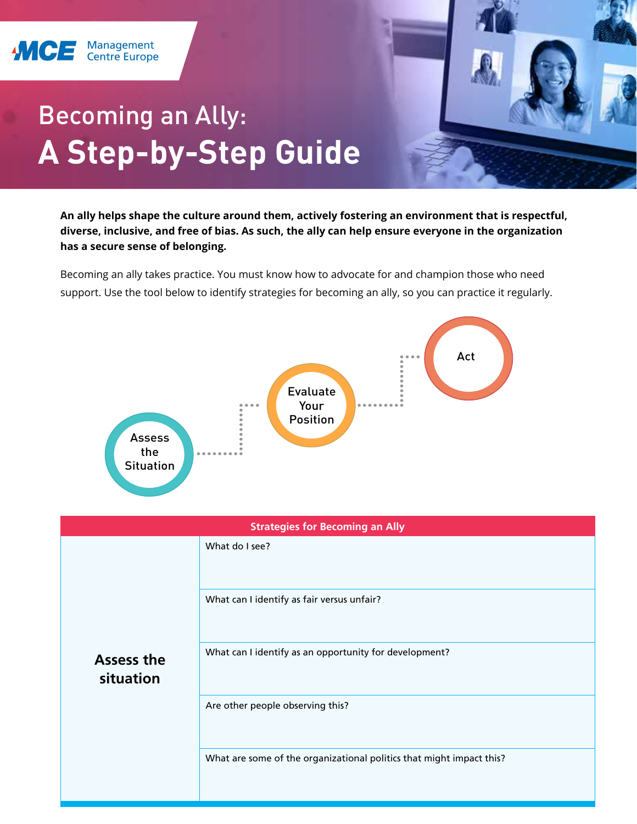

## Becoming an Ally: **A Step-by-Step Guide**

**An ally helps shape the culture around them, actively fostering an environment that is respectful, diverse, inclusive, and free of bias. As such, the ally can help ensure everyone in the organization has a secure sense of belonging.**

Becoming an ally takes practice. You must know how to advocate for and champion those who need support. Use the tool below to identify strategies for becoming an ally, so you can practice it regularly.



| <b>Strategies for Becoming an Ally</b> |                                                                      |
|----------------------------------------|----------------------------------------------------------------------|
|                                        | What do I see?                                                       |
|                                        | What can I identify as fair versus unfair?                           |
| <b>Assess the</b><br>situation         | What can I identify as an opportunity for development?               |
|                                        | Are other people observing this?                                     |
|                                        | What are some of the organizational politics that might impact this? |